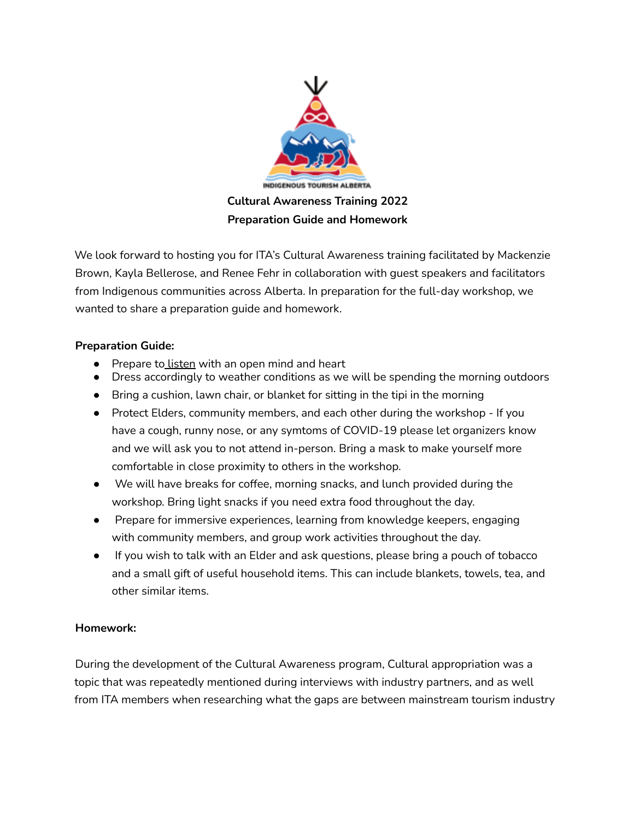

We look forward to hosting you for ITA's Cultural Awareness training facilitated by Mackenzie Brown, Kayla Bellerose, and Renee Fehr in collaboration with guest speakers and facilitators from Indigenous communities across Alberta. In preparation for the full-day workshop, we wanted to share a preparation guide and homework.

## **Preparation Guide:**

- Prepare to listen with an open mind and heart
- Dress accordingly to weather conditions as we will be spending the morning outdoors
- Bring a cushion, lawn chair, or blanket for sitting in the tipi in the morning
- Protect Elders, community members, and each other during the workshop If you have a cough, runny nose, or any symtoms of COVID-19 please let organizers know and we will ask you to not attend in-person. Bring a mask to make yourself more comfortable in close proximity to others in the workshop.
- We will have breaks for coffee, morning snacks, and lunch provided during the workshop. Bring light snacks if you need extra food throughout the day.
- Prepare for immersive experiences, learning from knowledge keepers, engaging with community members, and group work activities throughout the day.
- If you wish to talk with an Elder and ask questions, please bring a pouch of tobacco and a small gift of useful household items. This can include blankets, towels, tea, and other similar items.

## **Homework:**

During the development of the Cultural Awareness program, Cultural appropriation was a topic that was repeatedly mentioned during interviews with industry partners, and as well from ITA members when researching what the gaps are between mainstream tourism industry